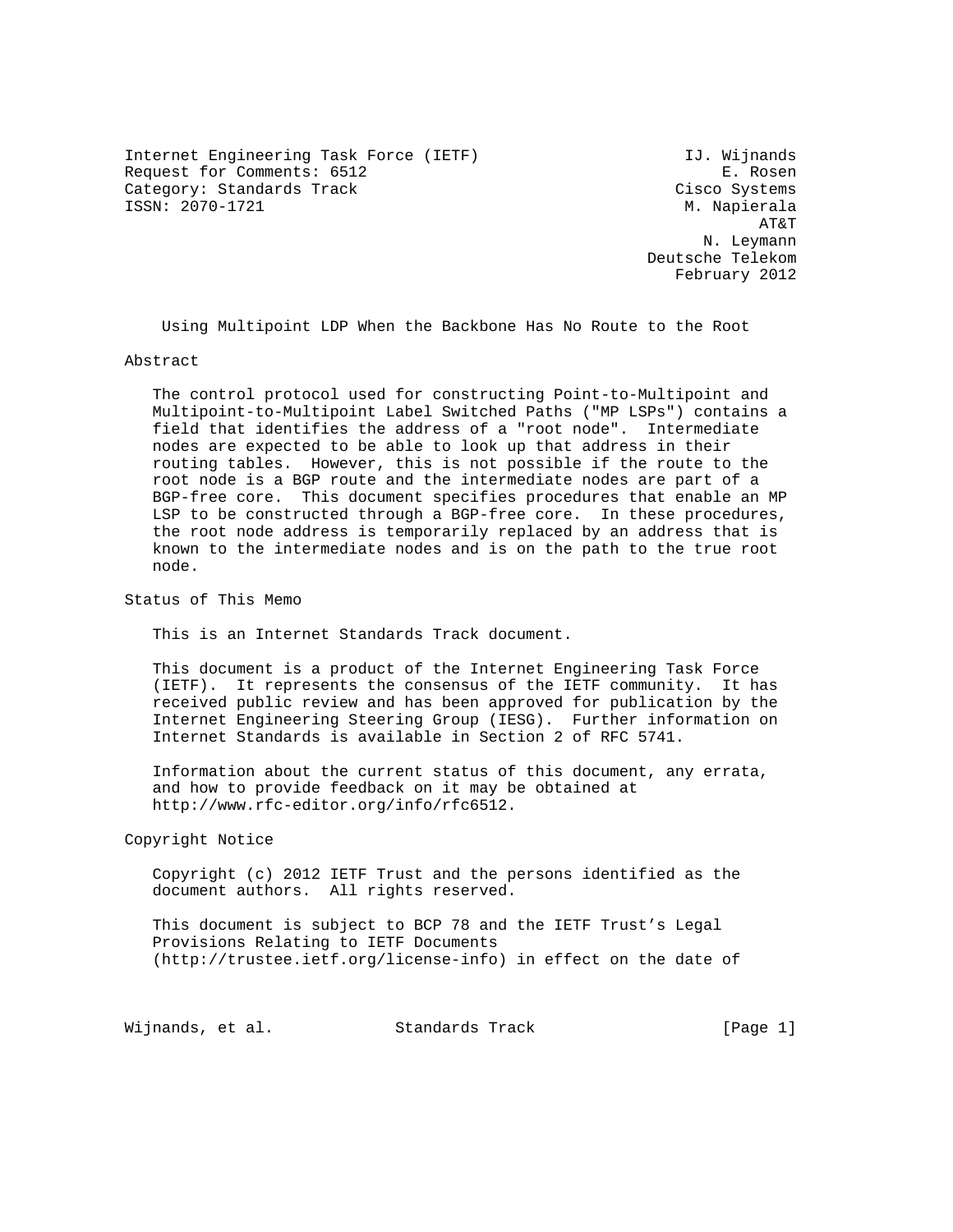Internet Engineering Task Force (IETF) THE MUSIC CONSIDENTIAL UP OF THE MUSIC CONSIDENTI Request for Comments: 6512 E. Rosen Category: Standards Track Cisco Systems ISSN: 2070-1721 M. Napierala

 AT&T N. Leymann Deutsche Telekom February 2012

Using Multipoint LDP When the Backbone Has No Route to the Root

#### Abstract

 The control protocol used for constructing Point-to-Multipoint and Multipoint-to-Multipoint Label Switched Paths ("MP LSPs") contains a field that identifies the address of a "root node". Intermediate nodes are expected to be able to look up that address in their routing tables. However, this is not possible if the route to the root node is a BGP route and the intermediate nodes are part of a BGP-free core. This document specifies procedures that enable an MP LSP to be constructed through a BGP-free core. In these procedures, the root node address is temporarily replaced by an address that is known to the intermediate nodes and is on the path to the true root node.

Status of This Memo

This is an Internet Standards Track document.

 This document is a product of the Internet Engineering Task Force (IETF). It represents the consensus of the IETF community. It has received public review and has been approved for publication by the Internet Engineering Steering Group (IESG). Further information on Internet Standards is available in Section 2 of RFC 5741.

 Information about the current status of this document, any errata, and how to provide feedback on it may be obtained at http://www.rfc-editor.org/info/rfc6512.

Copyright Notice

 Copyright (c) 2012 IETF Trust and the persons identified as the document authors. All rights reserved.

 This document is subject to BCP 78 and the IETF Trust's Legal Provisions Relating to IETF Documents (http://trustee.ietf.org/license-info) in effect on the date of

Wijnands, et al. Standards Track [Page 1]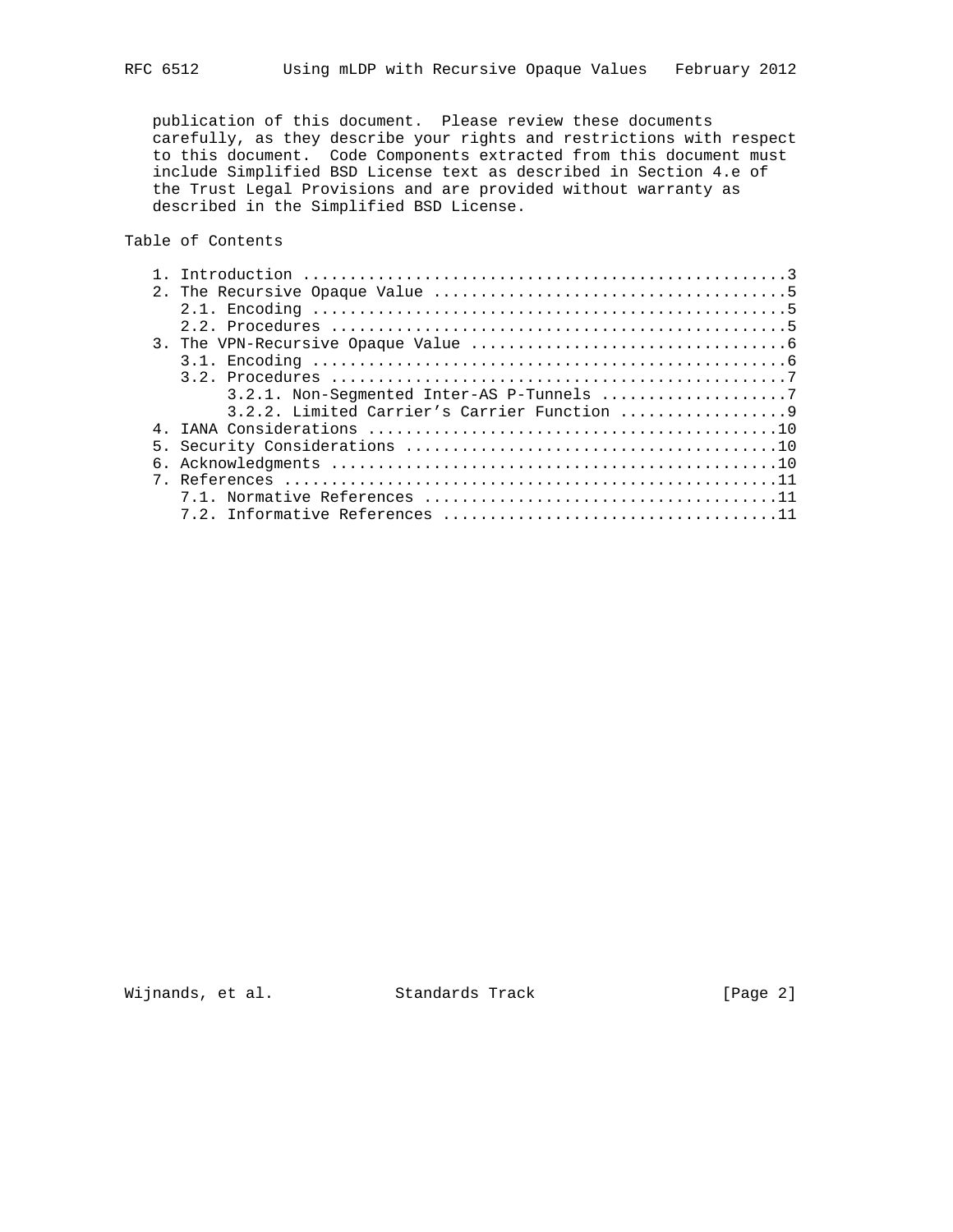publication of this document. Please review these documents carefully, as they describe your rights and restrictions with respect to this document. Code Components extracted from this document must include Simplified BSD License text as described in Section 4.e of the Trust Legal Provisions and are provided without warranty as described in the Simplified BSD License.

Table of Contents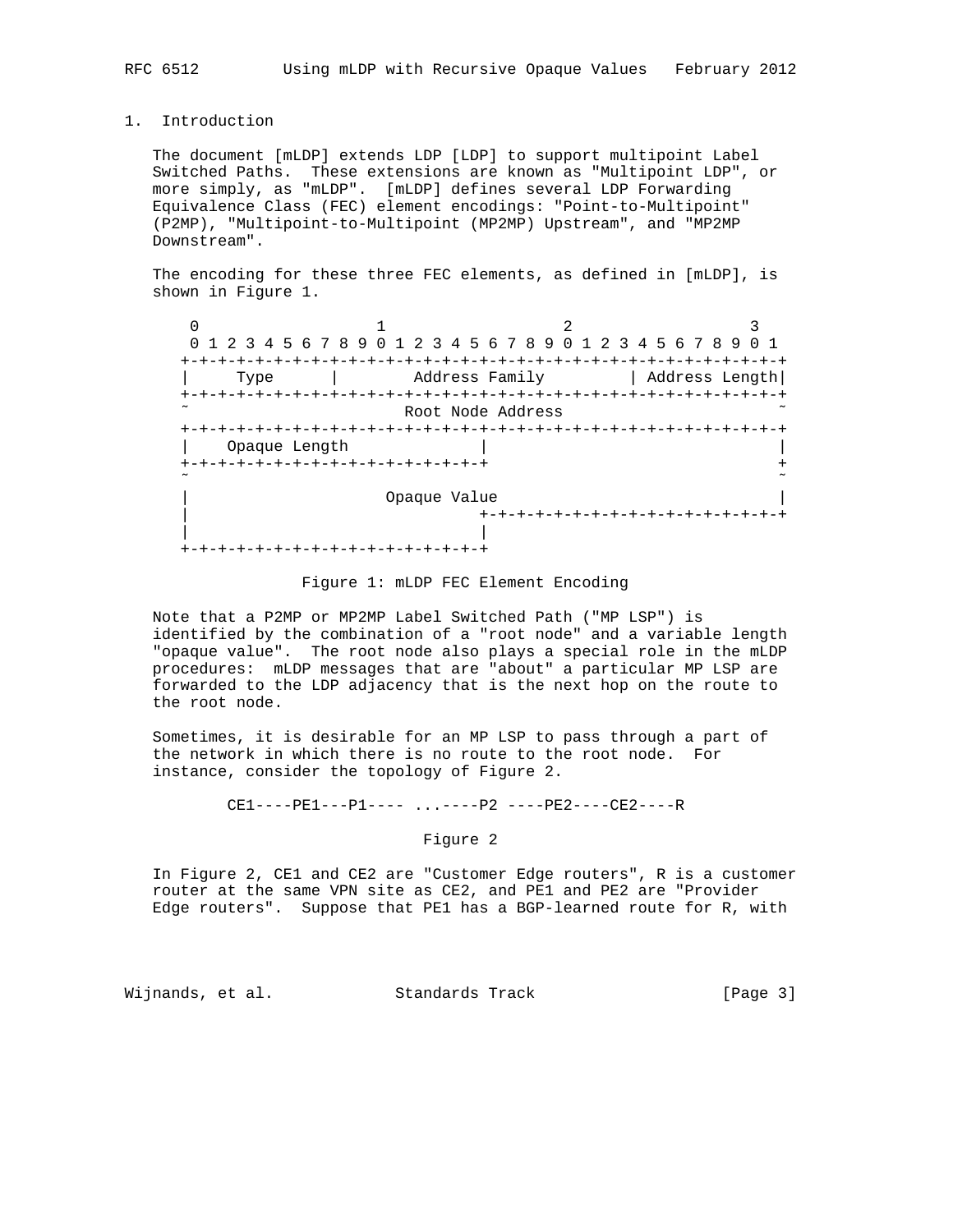1. Introduction

 The document [mLDP] extends LDP [LDP] to support multipoint Label Switched Paths. These extensions are known as "Multipoint LDP", or more simply, as "mLDP". [mLDP] defines several LDP Forwarding Equivalence Class (FEC) element encodings: "Point-to-Multipoint" (P2MP), "Multipoint-to-Multipoint (MP2MP) Upstream", and "MP2MP Downstream".

 The encoding for these three FEC elements, as defined in [mLDP], is shown in Figure 1.

|                   | 1 2 3 4 5 6 7 8 9 0 1 2 3 4 5 6 7 8 9 0 1 2 3 4 5 6 7 8 9 |                |                               |  |  |
|-------------------|-----------------------------------------------------------|----------------|-------------------------------|--|--|
| Type              |                                                           | Address Family | Address Length                |  |  |
| Root Node Address |                                                           |                |                               |  |  |
| Opaque Length     |                                                           |                |                               |  |  |
|                   | -+-+-+-+-+-+-+-+-+-+-+-+-+-+-+-+-                         |                |                               |  |  |
| Opaque Value      |                                                           |                |                               |  |  |
|                   | +-+-+-+-+-+-+-+-+-+-+-+                                   |                | +-+-+-+-+-+-+-+-+-+-+-+-+-+-+ |  |  |

#### Figure 1: mLDP FEC Element Encoding

 Note that a P2MP or MP2MP Label Switched Path ("MP LSP") is identified by the combination of a "root node" and a variable length "opaque value". The root node also plays a special role in the mLDP procedures: mLDP messages that are "about" a particular MP LSP are forwarded to the LDP adjacency that is the next hop on the route to the root node.

 Sometimes, it is desirable for an MP LSP to pass through a part of the network in which there is no route to the root node. For instance, consider the topology of Figure 2.

CE1----PE1---P1---- ...----P2 ----PE2----CE2----R

Figure 2

 In Figure 2, CE1 and CE2 are "Customer Edge routers", R is a customer router at the same VPN site as CE2, and PE1 and PE2 are "Provider Edge routers". Suppose that PE1 has a BGP-learned route for R, with

Wijnands, et al. Standards Track [Page 3]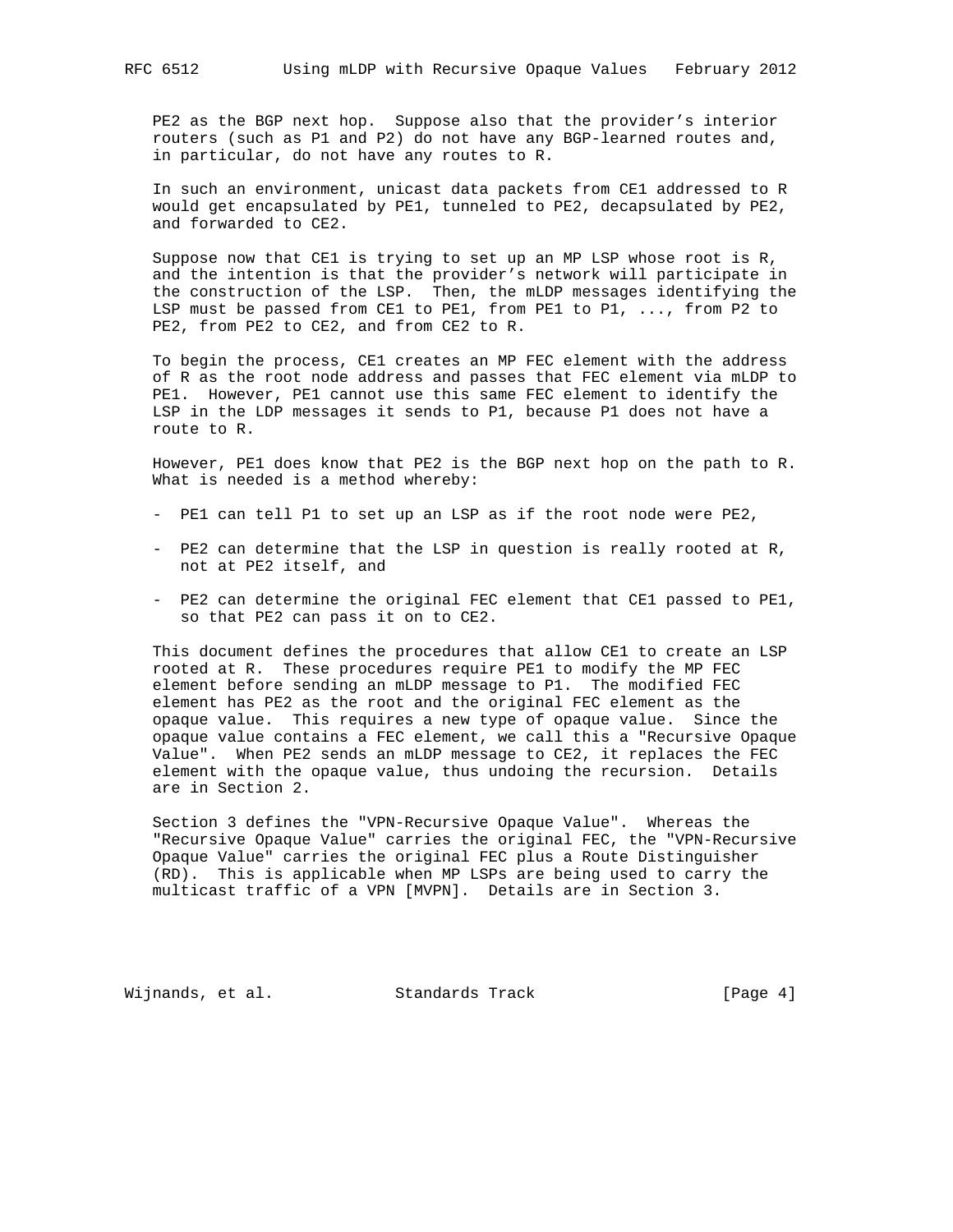PE2 as the BGP next hop. Suppose also that the provider's interior routers (such as P1 and P2) do not have any BGP-learned routes and, in particular, do not have any routes to R.

 In such an environment, unicast data packets from CE1 addressed to R would get encapsulated by PE1, tunneled to PE2, decapsulated by PE2, and forwarded to CE2.

 Suppose now that CE1 is trying to set up an MP LSP whose root is R, and the intention is that the provider's network will participate in the construction of the LSP. Then, the mLDP messages identifying the LSP must be passed from CE1 to PE1, from PE1 to P1, ..., from P2 to PE2, from PE2 to CE2, and from CE2 to R.

 To begin the process, CE1 creates an MP FEC element with the address of R as the root node address and passes that FEC element via mLDP to PE1. However, PE1 cannot use this same FEC element to identify the LSP in the LDP messages it sends to P1, because P1 does not have a route to R.

 However, PE1 does know that PE2 is the BGP next hop on the path to R. What is needed is a method whereby:

- PE1 can tell P1 to set up an LSP as if the root node were PE2,
- PE2 can determine that the LSP in question is really rooted at R, not at PE2 itself, and
- PE2 can determine the original FEC element that CE1 passed to PE1, so that PE2 can pass it on to CE2.

 This document defines the procedures that allow CE1 to create an LSP rooted at R. These procedures require PE1 to modify the MP FEC element before sending an mLDP message to P1. The modified FEC element has PE2 as the root and the original FEC element as the opaque value. This requires a new type of opaque value. Since the opaque value contains a FEC element, we call this a "Recursive Opaque Value". When PE2 sends an mLDP message to CE2, it replaces the FEC element with the opaque value, thus undoing the recursion. Details are in Section 2.

 Section 3 defines the "VPN-Recursive Opaque Value". Whereas the "Recursive Opaque Value" carries the original FEC, the "VPN-Recursive Opaque Value" carries the original FEC plus a Route Distinguisher (RD). This is applicable when MP LSPs are being used to carry the multicast traffic of a VPN [MVPN]. Details are in Section 3.

Wijnands, et al. Standards Track [Page 4]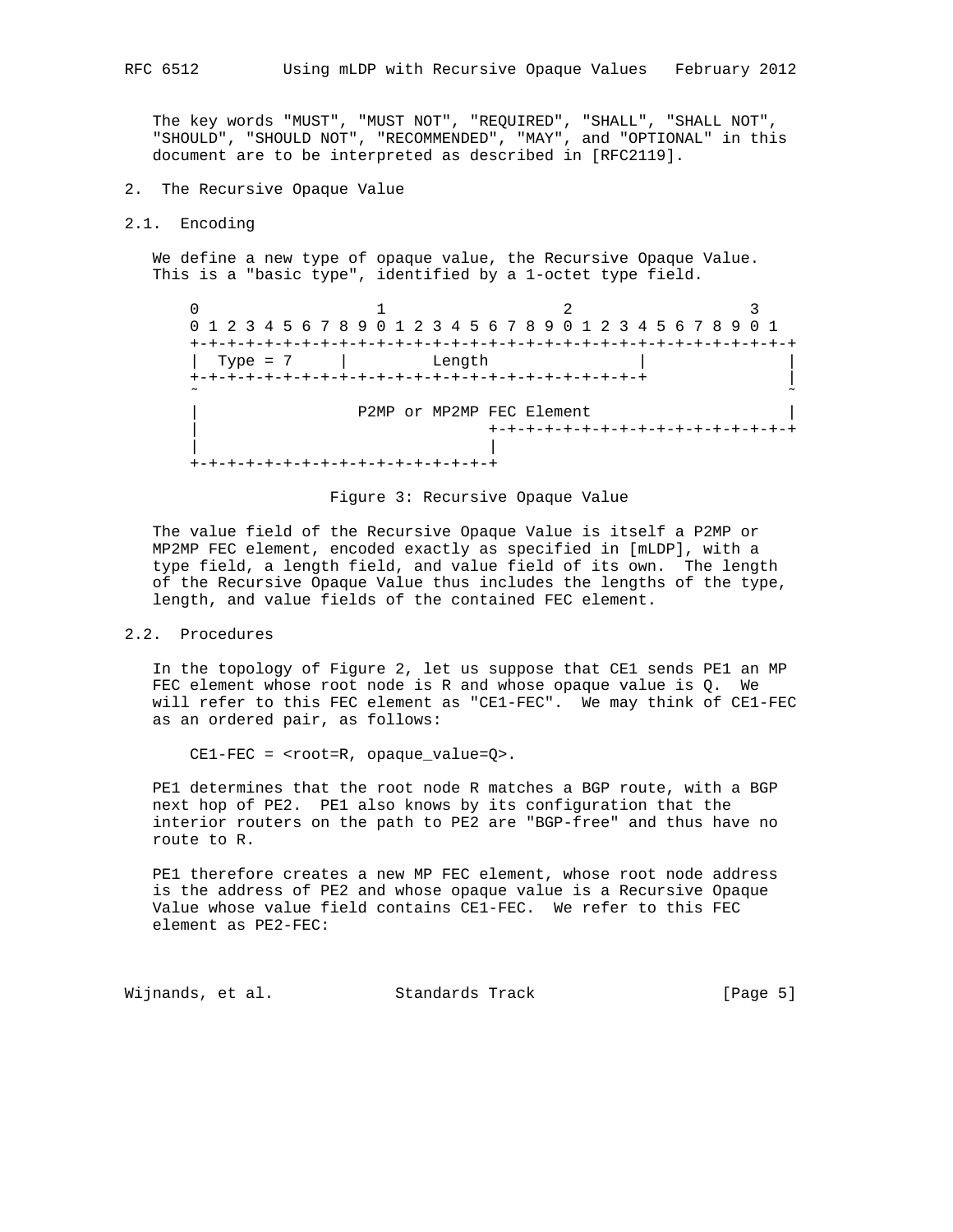The key words "MUST", "MUST NOT", "REQUIRED", "SHALL", "SHALL NOT", "SHOULD", "SHOULD NOT", "RECOMMENDED", "MAY", and "OPTIONAL" in this document are to be interpreted as described in [RFC2119].

- 2. The Recursive Opaque Value
- 2.1. Encoding

 We define a new type of opaque value, the Recursive Opaque Value. This is a "basic type", identified by a 1-octet type field.

0  $1$  2 3 0 1 2 3 4 5 6 7 8 9 0 1 2 3 4 5 6 7 8 9 0 1 2 3 4 5 6 7 8 9 0 1 +-+-+-+-+-+-+-+-+-+-+-+-+-+-+-+-+-+-+-+-+-+-+-+-+-+-+-+-+-+-+-+-+ | Type = 7 | Length | | +-+-+-+-+-+-+-+-+-+-+-+-+-+-+-+-+-+-+-+-+-+-+-+-+ | ˜ ˜ P2MP or MP2MP FEC Element | +-+-+-+-+-+-+-+-+-+-+-+-+-+-+-+-+ | | +-+-+-+-+-+-+-+-+-+-+-+-+-+-+-+-+



 The value field of the Recursive Opaque Value is itself a P2MP or MP2MP FEC element, encoded exactly as specified in [mLDP], with a type field, a length field, and value field of its own. The length of the Recursive Opaque Value thus includes the lengths of the type, length, and value fields of the contained FEC element.

# 2.2. Procedures

 In the topology of Figure 2, let us suppose that CE1 sends PE1 an MP FEC element whose root node is R and whose opaque value is Q. We will refer to this FEC element as "CE1-FEC". We may think of CE1-FEC as an ordered pair, as follows:

CE1-FEC = <root=R, opaque\_value=Q>.

 PE1 determines that the root node R matches a BGP route, with a BGP next hop of PE2. PE1 also knows by its configuration that the interior routers on the path to PE2 are "BGP-free" and thus have no route to R.

 PE1 therefore creates a new MP FEC element, whose root node address is the address of PE2 and whose opaque value is a Recursive Opaque Value whose value field contains CE1-FEC. We refer to this FEC element as PE2-FEC:

Wijnands, et al. Standards Track [Page 5]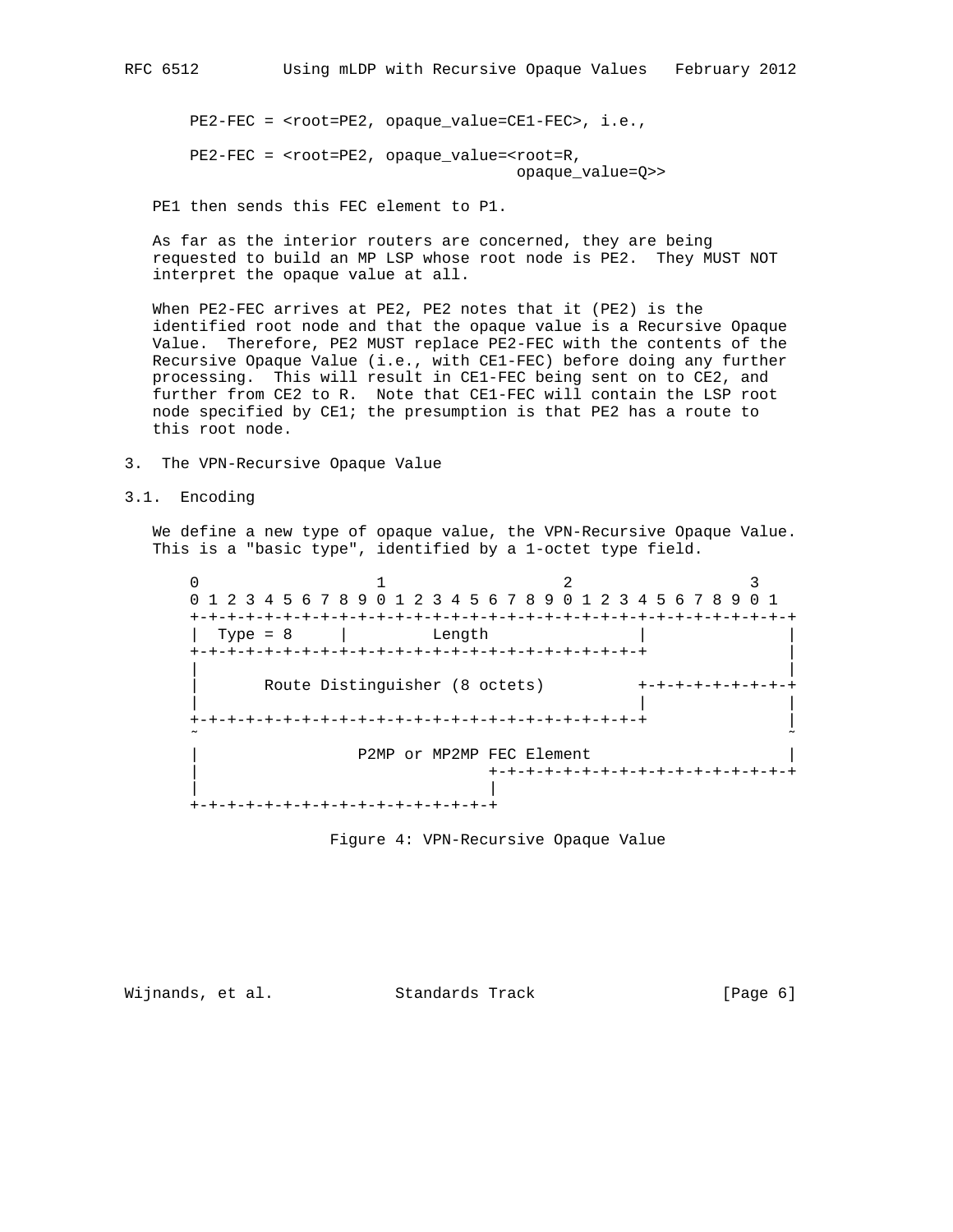PE2-FEC = <root=PE2, opaque\_value=CE1-FEC>, i.e.,

 PE2-FEC = <root=PE2, opaque\_value=<root=R, opaque\_value=Q>>

PE1 then sends this FEC element to P1.

 As far as the interior routers are concerned, they are being requested to build an MP LSP whose root node is PE2. They MUST NOT interpret the opaque value at all.

 When PE2-FEC arrives at PE2, PE2 notes that it (PE2) is the identified root node and that the opaque value is a Recursive Opaque Value. Therefore, PE2 MUST replace PE2-FEC with the contents of the Recursive Opaque Value (i.e., with CE1-FEC) before doing any further processing. This will result in CE1-FEC being sent on to CE2, and further from CE2 to R. Note that CE1-FEC will contain the LSP root node specified by CE1; the presumption is that PE2 has a route to this root node.

- 3. The VPN-Recursive Opaque Value
- 3.1. Encoding

 We define a new type of opaque value, the VPN-Recursive Opaque Value. This is a "basic type", identified by a 1-octet type field.

 $0$  1 2 3 0 1 2 3 4 5 6 7 8 9 0 1 2 3 4 5 6 7 8 9 0 1 2 3 4 5 6 7 8 9 0 1 +-+-+-+-+-+-+-+-+-+-+-+-+-+-+-+-+-+-+-+-+-+-+-+-+-+-+-+-+-+-+-+-+  $|$  Type = 8  $|$  Length +-+-+-+-+-+-+-+-+-+-+-+-+-+-+-+-+-+-+-+-+-+-+-+-+ | | | Route Distinguisher (8 octets) +-+-+-+-+-+-+-+-+-+ | | | +-+-+-+-+-+-+-+-+-+-+-+-+-+-+-+-+-+-+-+-+-+-+-+-+ | ˜ ˜ P2MP or MP2MP FEC Element | +-+-+-+-+-+-+-+-+-+-+-+-+-+-+-+-+ | | +-+-+-+-+-+-+-+-+-+-+-+-+-+-+-+-+

Figure 4: VPN-Recursive Opaque Value

Wijnands, et al. Standards Track [Page 6]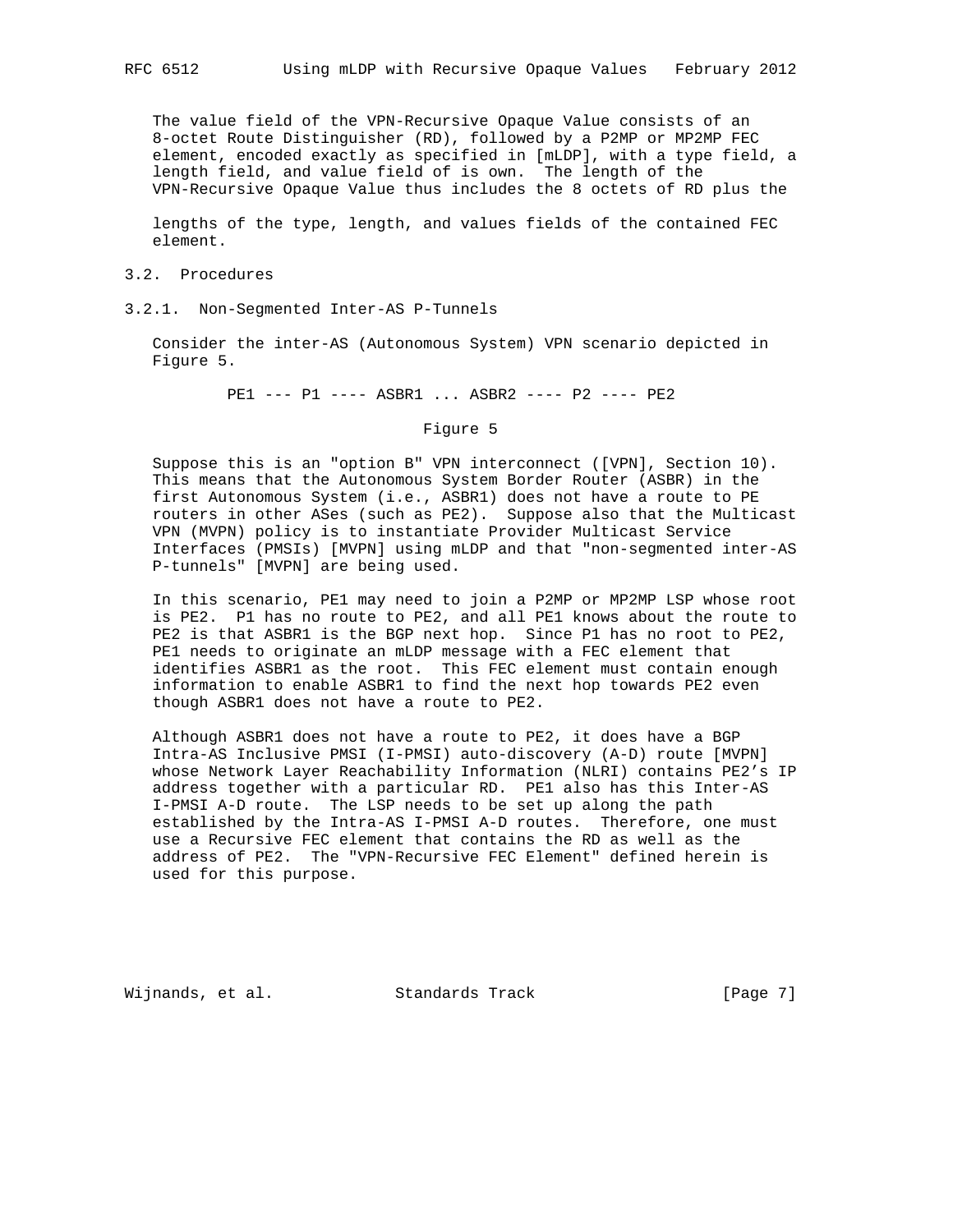The value field of the VPN-Recursive Opaque Value consists of an 8-octet Route Distinguisher (RD), followed by a P2MP or MP2MP FEC element, encoded exactly as specified in [mLDP], with a type field, a length field, and value field of is own. The length of the VPN-Recursive Opaque Value thus includes the 8 octets of RD plus the

 lengths of the type, length, and values fields of the contained FEC element.

### 3.2. Procedures

3.2.1. Non-Segmented Inter-AS P-Tunnels

 Consider the inter-AS (Autonomous System) VPN scenario depicted in Figure 5.

PE1 --- P1 ---- ASBR1 ... ASBR2 ---- P2 ---- PE2

Figure 5

 Suppose this is an "option B" VPN interconnect ([VPN], Section 10). This means that the Autonomous System Border Router (ASBR) in the first Autonomous System (i.e., ASBR1) does not have a route to PE routers in other ASes (such as PE2). Suppose also that the Multicast VPN (MVPN) policy is to instantiate Provider Multicast Service Interfaces (PMSIs) [MVPN] using mLDP and that "non-segmented inter-AS P-tunnels" [MVPN] are being used.

 In this scenario, PE1 may need to join a P2MP or MP2MP LSP whose root is PE2. P1 has no route to PE2, and all PE1 knows about the route to PE2 is that ASBR1 is the BGP next hop. Since P1 has no root to PE2, PE1 needs to originate an mLDP message with a FEC element that identifies ASBR1 as the root. This FEC element must contain enough information to enable ASBR1 to find the next hop towards PE2 even though ASBR1 does not have a route to PE2.

 Although ASBR1 does not have a route to PE2, it does have a BGP Intra-AS Inclusive PMSI (I-PMSI) auto-discovery (A-D) route [MVPN] whose Network Layer Reachability Information (NLRI) contains PE2's IP address together with a particular RD. PE1 also has this Inter-AS I-PMSI A-D route. The LSP needs to be set up along the path established by the Intra-AS I-PMSI A-D routes. Therefore, one must use a Recursive FEC element that contains the RD as well as the address of PE2. The "VPN-Recursive FEC Element" defined herein is used for this purpose.

Wijnands, et al. Standards Track [Page 7]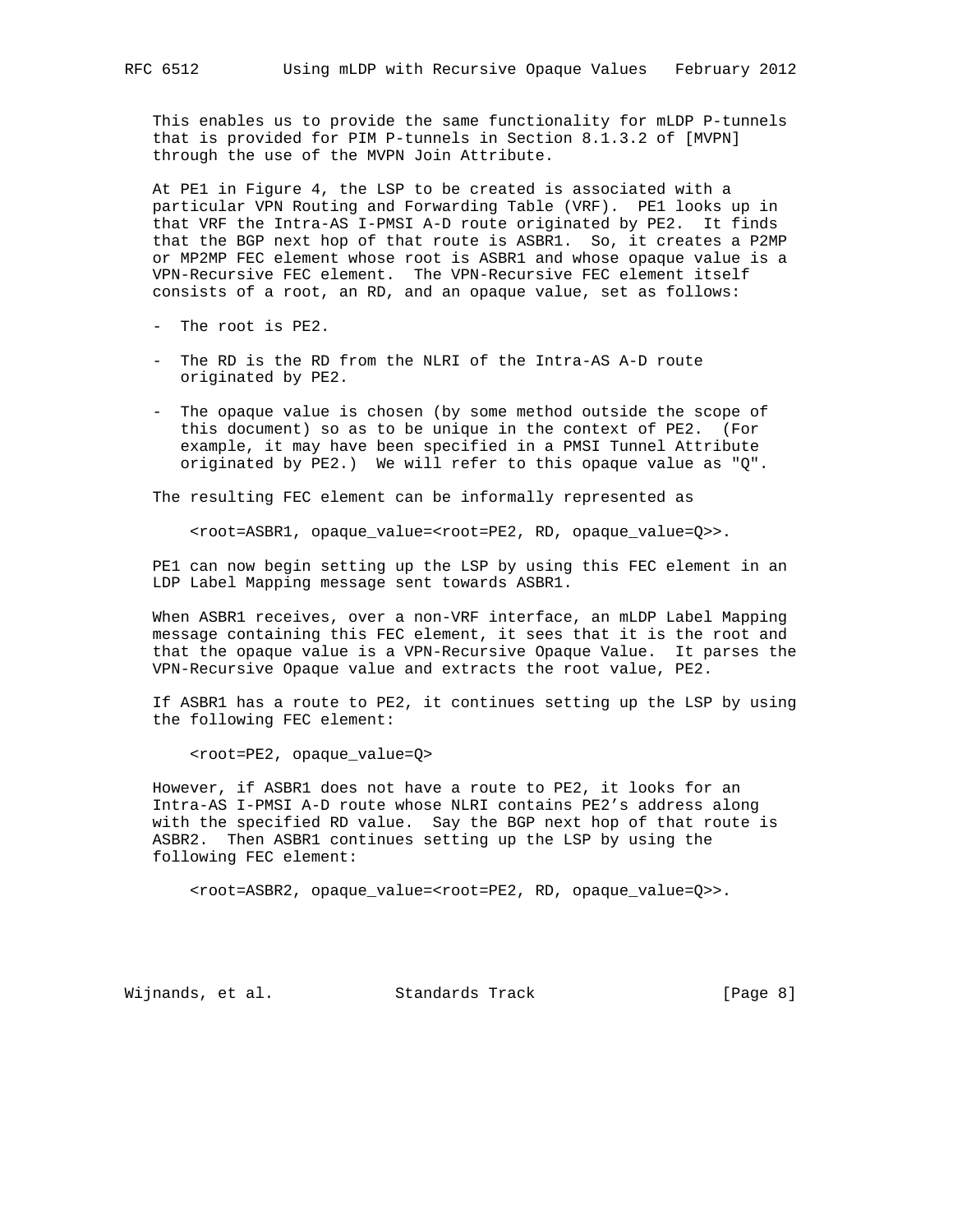This enables us to provide the same functionality for mLDP P-tunnels that is provided for PIM P-tunnels in Section 8.1.3.2 of [MVPN] through the use of the MVPN Join Attribute.

 At PE1 in Figure 4, the LSP to be created is associated with a particular VPN Routing and Forwarding Table (VRF). PE1 looks up in that VRF the Intra-AS I-PMSI A-D route originated by PE2. It finds that the BGP next hop of that route is ASBR1. So, it creates a P2MP or MP2MP FEC element whose root is ASBR1 and whose opaque value is a VPN-Recursive FEC element. The VPN-Recursive FEC element itself consists of a root, an RD, and an opaque value, set as follows:

- The root is PE2.
- The RD is the RD from the NLRI of the Intra-AS A-D route originated by PE2.
- The opaque value is chosen (by some method outside the scope of this document) so as to be unique in the context of PE2. (For example, it may have been specified in a PMSI Tunnel Attribute originated by PE2.) We will refer to this opaque value as "Q".

The resulting FEC element can be informally represented as

<root=ASBR1, opaque\_value=<root=PE2, RD, opaque\_value=Q>>.

 PE1 can now begin setting up the LSP by using this FEC element in an LDP Label Mapping message sent towards ASBR1.

When ASBR1 receives, over a non-VRF interface, an mLDP Label Mapping message containing this FEC element, it sees that it is the root and that the opaque value is a VPN-Recursive Opaque Value. It parses the VPN-Recursive Opaque value and extracts the root value, PE2.

 If ASBR1 has a route to PE2, it continues setting up the LSP by using the following FEC element:

<root=PE2, opaque\_value=Q>

 However, if ASBR1 does not have a route to PE2, it looks for an Intra-AS I-PMSI A-D route whose NLRI contains PE2's address along with the specified RD value. Say the BGP next hop of that route is ASBR2. Then ASBR1 continues setting up the LSP by using the following FEC element:

<root=ASBR2, opaque\_value=<root=PE2, RD, opaque\_value=Q>>.

Wijnands, et al. Standards Track [Page 8]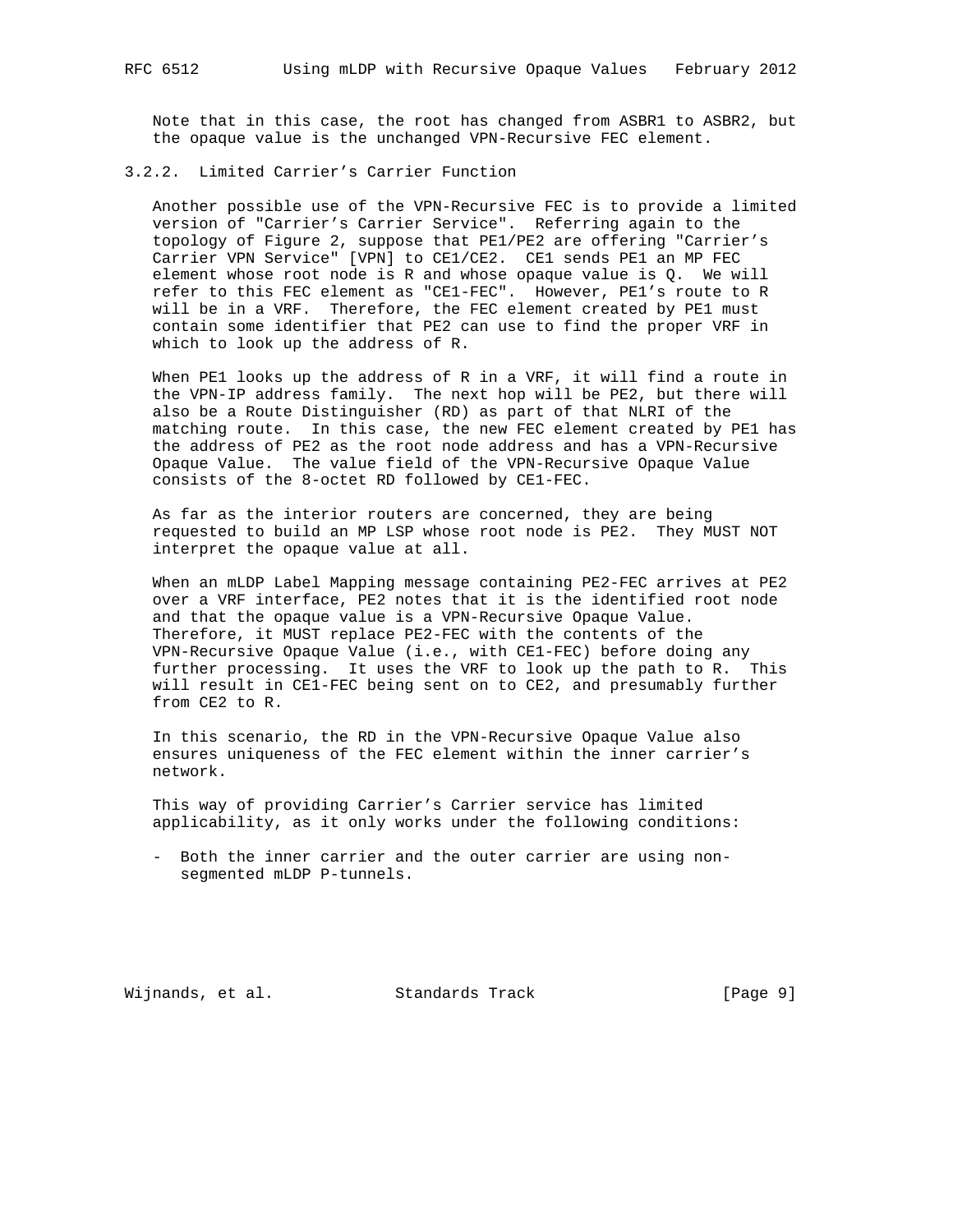Note that in this case, the root has changed from ASBR1 to ASBR2, but the opaque value is the unchanged VPN-Recursive FEC element.

#### 3.2.2. Limited Carrier's Carrier Function

 Another possible use of the VPN-Recursive FEC is to provide a limited version of "Carrier's Carrier Service". Referring again to the topology of Figure 2, suppose that PE1/PE2 are offering "Carrier's Carrier VPN Service" [VPN] to CE1/CE2. CE1 sends PE1 an MP FEC element whose root node is R and whose opaque value is Q. We will refer to this FEC element as "CE1-FEC". However, PE1's route to R will be in a VRF. Therefore, the FEC element created by PE1 must contain some identifier that PE2 can use to find the proper VRF in which to look up the address of R.

 When PE1 looks up the address of R in a VRF, it will find a route in the VPN-IP address family. The next hop will be PE2, but there will also be a Route Distinguisher (RD) as part of that NLRI of the matching route. In this case, the new FEC element created by PE1 has the address of PE2 as the root node address and has a VPN-Recursive Opaque Value. The value field of the VPN-Recursive Opaque Value consists of the 8-octet RD followed by CE1-FEC.

 As far as the interior routers are concerned, they are being requested to build an MP LSP whose root node is PE2. They MUST NOT interpret the opaque value at all.

 When an mLDP Label Mapping message containing PE2-FEC arrives at PE2 over a VRF interface, PE2 notes that it is the identified root node and that the opaque value is a VPN-Recursive Opaque Value. Therefore, it MUST replace PE2-FEC with the contents of the VPN-Recursive Opaque Value (i.e., with CE1-FEC) before doing any further processing. It uses the VRF to look up the path to R. This will result in CE1-FEC being sent on to CE2, and presumably further from CE2 to R.

 In this scenario, the RD in the VPN-Recursive Opaque Value also ensures uniqueness of the FEC element within the inner carrier's network.

 This way of providing Carrier's Carrier service has limited applicability, as it only works under the following conditions:

 - Both the inner carrier and the outer carrier are using non segmented mLDP P-tunnels.

Wijnands, et al. Standards Track [Page 9]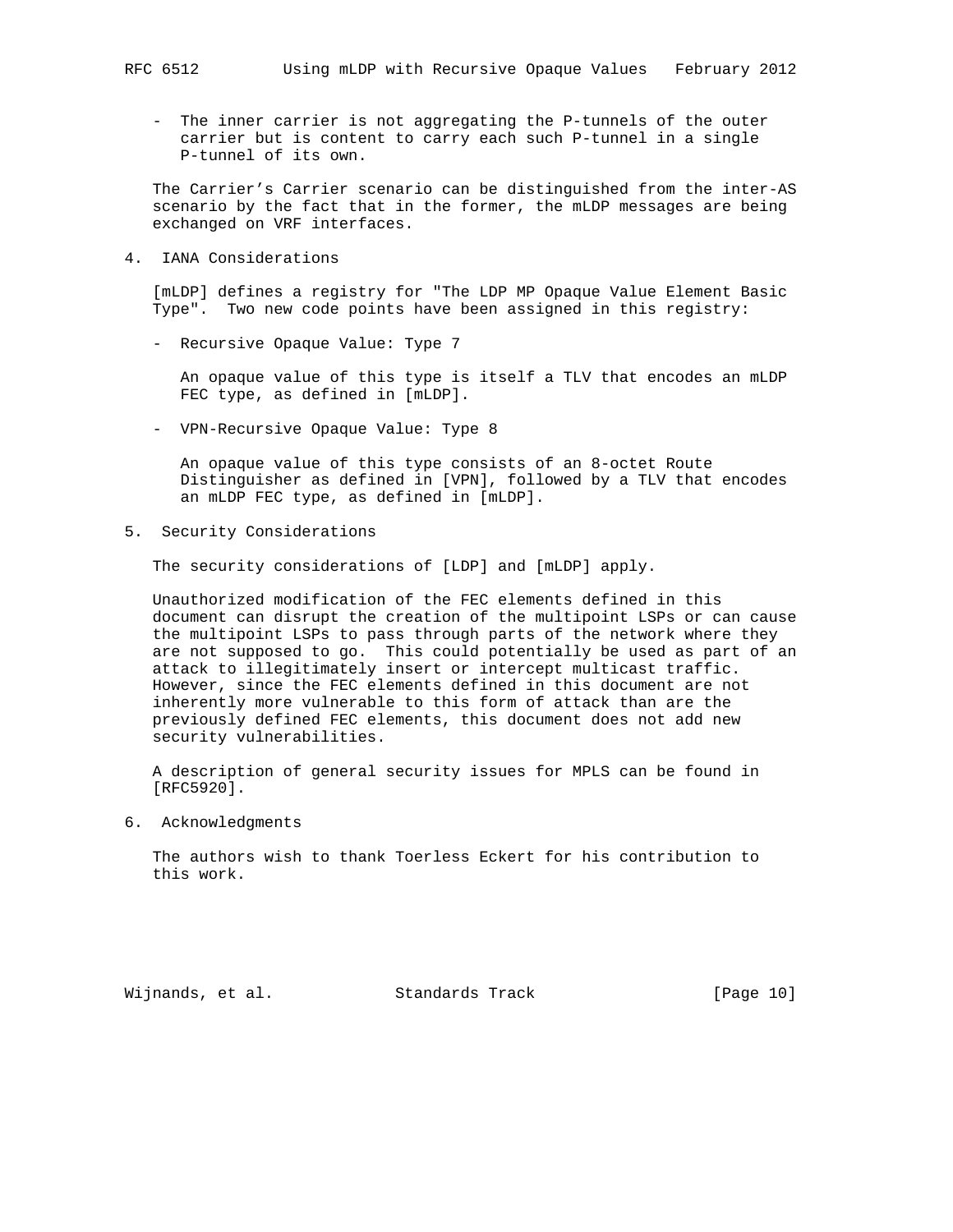- The inner carrier is not aggregating the P-tunnels of the outer carrier but is content to carry each such P-tunnel in a single P-tunnel of its own.

 The Carrier's Carrier scenario can be distinguished from the inter-AS scenario by the fact that in the former, the mLDP messages are being exchanged on VRF interfaces.

4. IANA Considerations

 [mLDP] defines a registry for "The LDP MP Opaque Value Element Basic Type". Two new code points have been assigned in this registry:

- Recursive Opaque Value: Type 7

 An opaque value of this type is itself a TLV that encodes an mLDP FEC type, as defined in [mLDP].

- VPN-Recursive Opaque Value: Type 8

 An opaque value of this type consists of an 8-octet Route Distinguisher as defined in [VPN], followed by a TLV that encodes an mLDP FEC type, as defined in [mLDP].

5. Security Considerations

The security considerations of [LDP] and [mLDP] apply.

 Unauthorized modification of the FEC elements defined in this document can disrupt the creation of the multipoint LSPs or can cause the multipoint LSPs to pass through parts of the network where they are not supposed to go. This could potentially be used as part of an attack to illegitimately insert or intercept multicast traffic. However, since the FEC elements defined in this document are not inherently more vulnerable to this form of attack than are the previously defined FEC elements, this document does not add new security vulnerabilities.

 A description of general security issues for MPLS can be found in [RFC5920].

6. Acknowledgments

 The authors wish to thank Toerless Eckert for his contribution to this work.

Wijnands, et al. Standards Track [Page 10]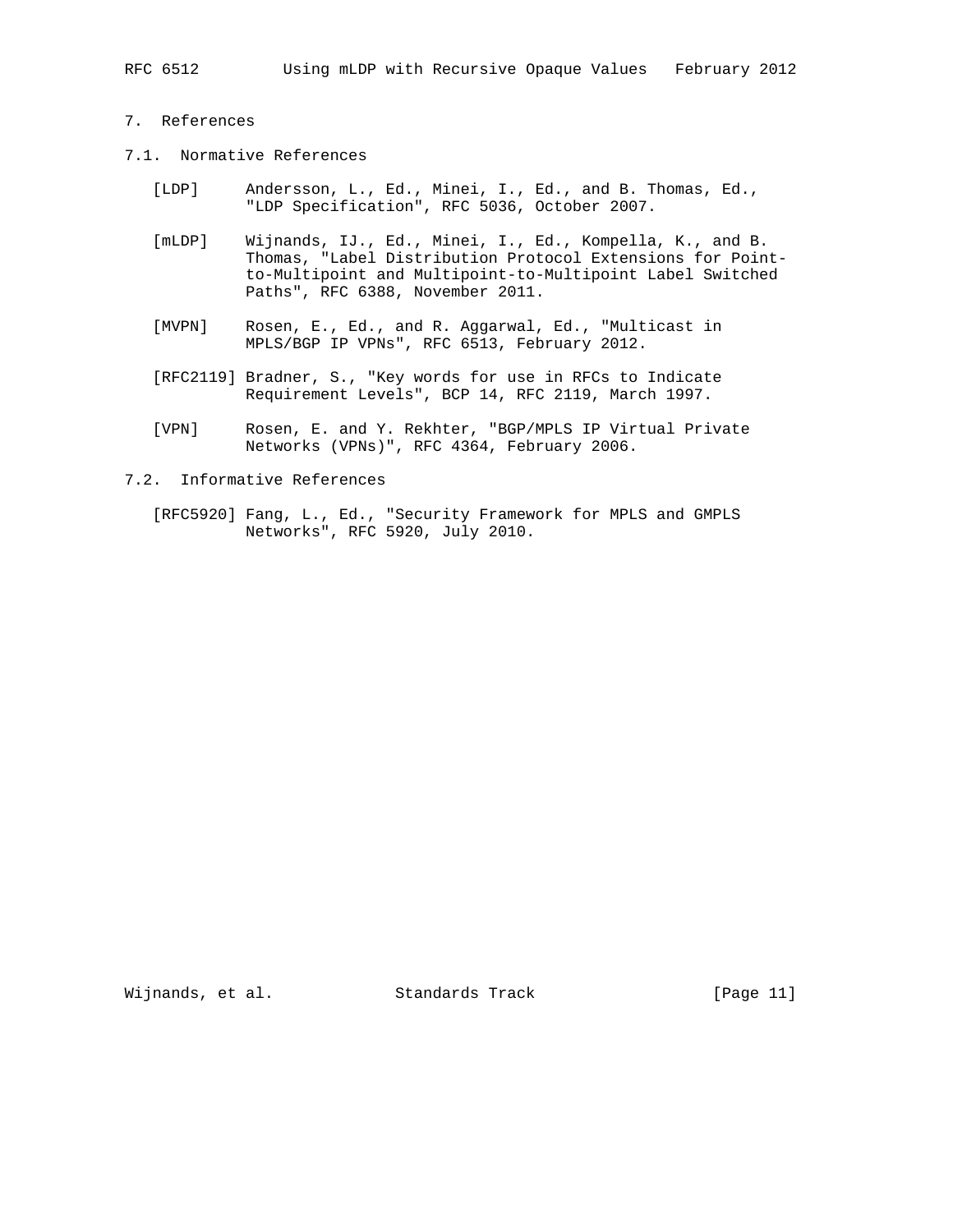## 7. References

- 7.1. Normative References
	- [LDP] Andersson, L., Ed., Minei, I., Ed., and B. Thomas, Ed., "LDP Specification", RFC 5036, October 2007.
	- [mLDP] Wijnands, IJ., Ed., Minei, I., Ed., Kompella, K., and B. Thomas, "Label Distribution Protocol Extensions for Point to-Multipoint and Multipoint-to-Multipoint Label Switched Paths", RFC 6388, November 2011.
	- [MVPN] Rosen, E., Ed., and R. Aggarwal, Ed., "Multicast in MPLS/BGP IP VPNs", RFC 6513, February 2012.
	- [RFC2119] Bradner, S., "Key words for use in RFCs to Indicate Requirement Levels", BCP 14, RFC 2119, March 1997.
	- [VPN] Rosen, E. and Y. Rekhter, "BGP/MPLS IP Virtual Private Networks (VPNs)", RFC 4364, February 2006.
- 7.2. Informative References
	- [RFC5920] Fang, L., Ed., "Security Framework for MPLS and GMPLS Networks", RFC 5920, July 2010.

Wijnands, et al. Standards Track [Page 11]